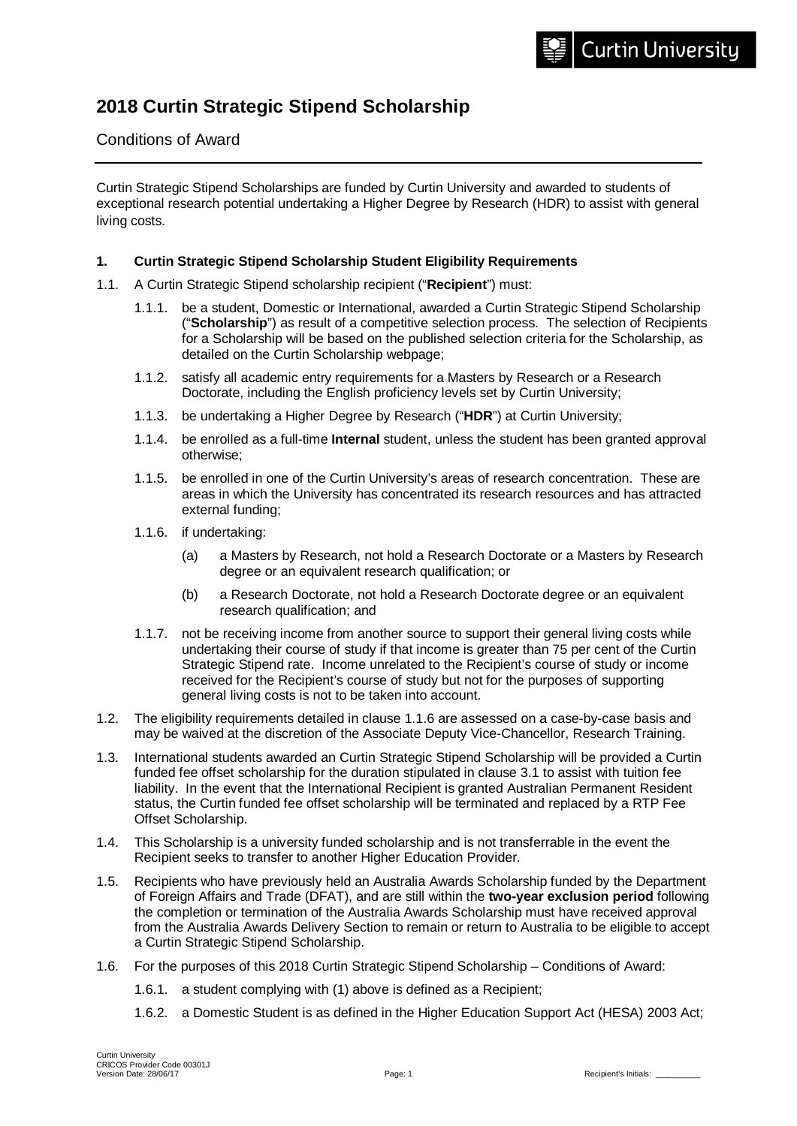# **2018 Curtin Strategic Stipend Scholarship**

# Conditions of Award

Curtin Strategic Stipend Scholarships are funded by Curtin University and awarded to students of exceptional research potential undertaking a Higher Degree by Research (HDR) to assist with general living costs.

## **1. Curtin Strategic Stipend Scholarship Student Eligibility Requirements**

- 1.1. A Curtin Strategic Stipend scholarship recipient ("**Recipient**") must:
	- 1.1.1. be a student, Domestic or International, awarded a Curtin Strategic Stipend Scholarship ("**Scholarship**") as result of a competitive selection process. The selection of Recipients for a Scholarship will be based on the published selection criteria for the Scholarship, as detailed on the Curtin Scholarship webpage;
	- 1.1.2. satisfy all academic entry requirements for a Masters by Research or a Research Doctorate, including the English proficiency levels set by Curtin University;
	- 1.1.3. be undertaking a Higher Degree by Research ("**HDR**") at Curtin University;
	- 1.1.4. be enrolled as a full-time **Internal** student, unless the student has been granted approval otherwise;
	- 1.1.5. be enrolled in one of the Curtin University's areas of research concentration. These are areas in which the University has concentrated its research resources and has attracted external funding;
	- 1.1.6. if undertaking:
		- (a) a Masters by Research, not hold a Research Doctorate or a Masters by Research degree or an equivalent research qualification; or
		- (b) a Research Doctorate, not hold a Research Doctorate degree or an equivalent research qualification; and
	- 1.1.7. not be receiving income from another source to support their general living costs while undertaking their course of study if that income is greater than 75 per cent of the Curtin Strategic Stipend rate. Income unrelated to the Recipient's course of study or income received for the Recipient's course of study but not for the purposes of supporting general living costs is not to be taken into account.
- 1.2. The eligibility requirements detailed in clause 1.1.6 are assessed on a case-by-case basis and may be waived at the discretion of the Associate Deputy Vice-Chancellor, Research Training.
- 1.3. International students awarded an Curtin Strategic Stipend Scholarship will be provided a Curtin funded fee offset scholarship for the duration stipulated in clause 3.1 to assist with tuition fee liability. In the event that the International Recipient is granted Australian Permanent Resident status, the Curtin funded fee offset scholarship will be terminated and replaced by a RTP Fee Offset Scholarship.
- 1.4. This Scholarship is a university funded scholarship and is not transferrable in the event the Recipient seeks to transfer to another Higher Education Provider.
- 1.5. Recipients who have previously held an Australia Awards Scholarship funded by the Department of Foreign Affairs and Trade (DFAT), and are still within the **two-year exclusion period** following the completion or termination of the Australia Awards Scholarship must have received approval from the Australia Awards Delivery Section to remain or return to Australia to be eligible to accept a Curtin Strategic Stipend Scholarship.
- 1.6. For the purposes of this 2018 Curtin Strategic Stipend Scholarship Conditions of Award:
	- 1.6.1. a student complying with (1) above is defined as a Recipient;
	- 1.6.2. a Domestic Student is as defined in the Higher Education Support Act (HESA) 2003 Act;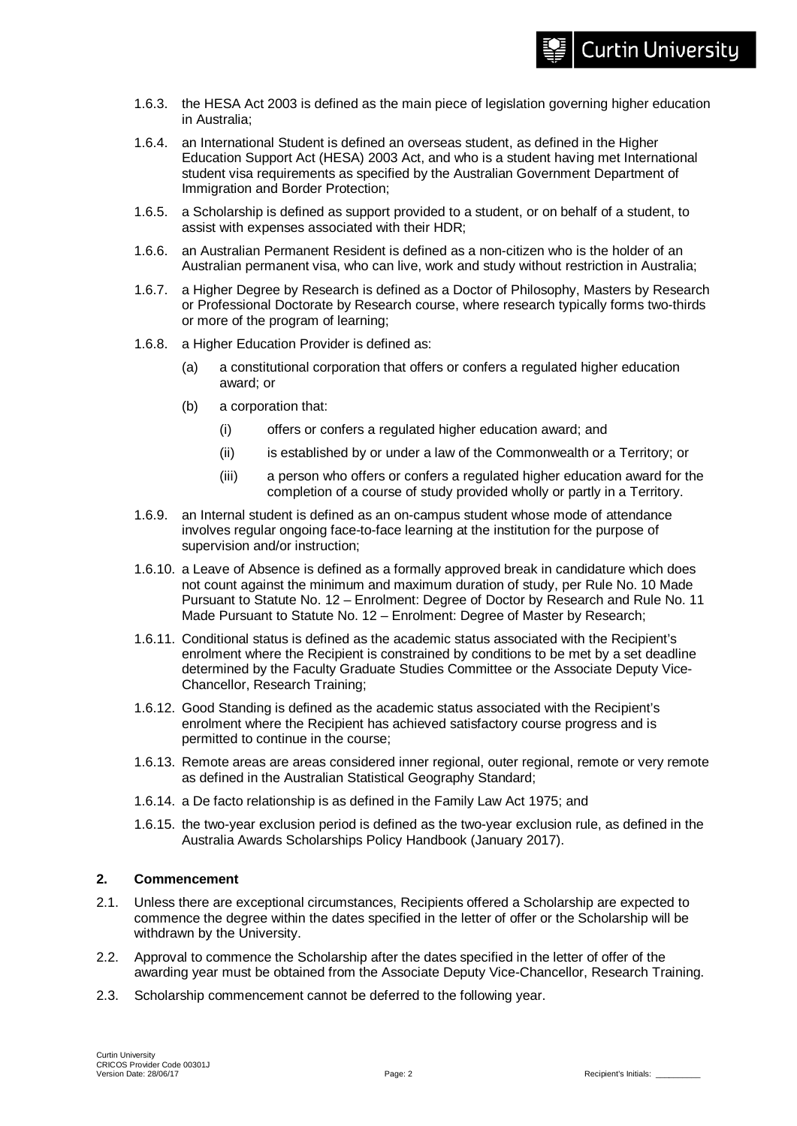- 1.6.3. the HESA Act 2003 is defined as the main piece of legislation governing higher education in Australia;
- 1.6.4. an International Student is defined an overseas student, as defined in the Higher Education Support Act (HESA) 2003 Act, and who is a student having met International student visa requirements as specified by the Australian Government Department of Immigration and Border Protection;
- 1.6.5. a Scholarship is defined as support provided to a student, or on behalf of a student, to assist with expenses associated with their HDR;
- 1.6.6. an Australian Permanent Resident is defined as a non-citizen who is the holder of an Australian permanent visa, who can live, work and study without restriction in Australia;
- 1.6.7. a Higher Degree by Research is defined as a Doctor of Philosophy, Masters by Research or Professional Doctorate by Research course, where research typically forms two-thirds or more of the program of learning;
- 1.6.8. a Higher Education Provider is defined as:
	- (a) a constitutional corporation that offers or confers a regulated higher education award; or
	- (b) a corporation that:
		- (i) offers or confers a regulated higher education award; and
		- (ii) is established by or under a law of the Commonwealth or a Territory; or
		- (iii) a person who offers or confers a regulated higher education award for the completion of a course of study provided wholly or partly in a Territory.
- 1.6.9. an Internal student is defined as an on-campus student whose mode of attendance involves regular ongoing face-to-face learning at the institution for the purpose of supervision and/or instruction;
- 1.6.10. a Leave of Absence is defined as a formally approved break in candidature which does not count against the minimum and maximum duration of study, per Rule No. 10 Made Pursuant to Statute No. 12 – Enrolment: Degree of Doctor by Research and Rule No. 11 Made Pursuant to Statute No. 12 – Enrolment: Degree of Master by Research;
- 1.6.11. Conditional status is defined as the academic status associated with the Recipient's enrolment where the Recipient is constrained by conditions to be met by a set deadline determined by the Faculty Graduate Studies Committee or the Associate Deputy Vice-Chancellor, Research Training;
- 1.6.12. Good Standing is defined as the academic status associated with the Recipient's enrolment where the Recipient has achieved satisfactory course progress and is permitted to continue in the course;
- 1.6.13. Remote areas are areas considered inner regional, outer regional, remote or very remote as defined in the Australian Statistical Geography Standard;
- 1.6.14. a De facto relationship is as defined in the Family Law Act 1975; and
- 1.6.15. the two-year exclusion period is defined as the two-year exclusion rule, as defined in the Australia Awards Scholarships Policy Handbook (January 2017).

## **2. Commencement**

- 2.1. Unless there are exceptional circumstances, Recipients offered a Scholarship are expected to commence the degree within the dates specified in the letter of offer or the Scholarship will be withdrawn by the University.
- 2.2. Approval to commence the Scholarship after the dates specified in the letter of offer of the awarding year must be obtained from the Associate Deputy Vice-Chancellor, Research Training.
- 2.3. Scholarship commencement cannot be deferred to the following year.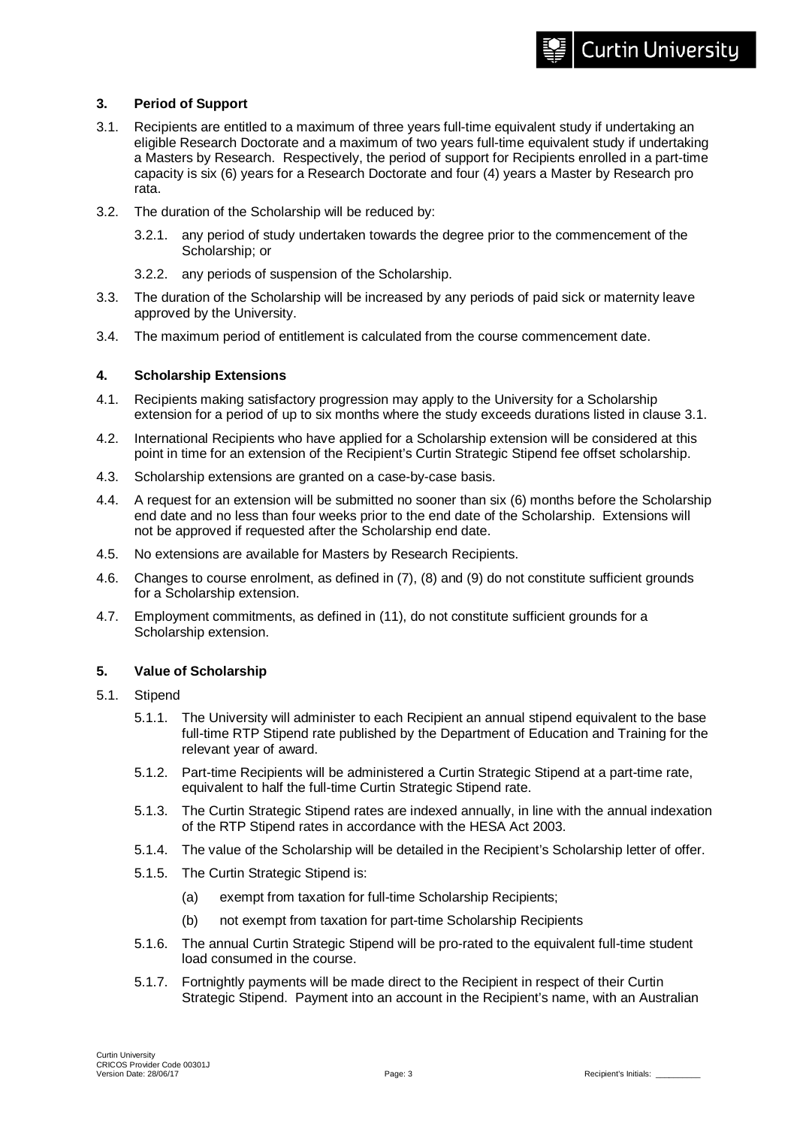# **3. Period of Support**

- 3.1. Recipients are entitled to a maximum of three years full-time equivalent study if undertaking an eligible Research Doctorate and a maximum of two years full-time equivalent study if undertaking a Masters by Research. Respectively, the period of support for Recipients enrolled in a part-time capacity is six (6) years for a Research Doctorate and four (4) years a Master by Research pro rata.
- 3.2. The duration of the Scholarship will be reduced by:
	- 3.2.1. any period of study undertaken towards the degree prior to the commencement of the Scholarship; or
	- 3.2.2. any periods of suspension of the Scholarship.
- 3.3. The duration of the Scholarship will be increased by any periods of paid sick or maternity leave approved by the University.
- 3.4. The maximum period of entitlement is calculated from the course commencement date.

## **4. Scholarship Extensions**

- 4.1. Recipients making satisfactory progression may apply to the University for a Scholarship extension for a period of up to six months where the study exceeds durations listed in clause 3.1.
- 4.2. International Recipients who have applied for a Scholarship extension will be considered at this point in time for an extension of the Recipient's Curtin Strategic Stipend fee offset scholarship.
- 4.3. Scholarship extensions are granted on a case-by-case basis.
- 4.4. A request for an extension will be submitted no sooner than six (6) months before the Scholarship end date and no less than four weeks prior to the end date of the Scholarship. Extensions will not be approved if requested after the Scholarship end date.
- 4.5. No extensions are available for Masters by Research Recipients.
- 4.6. Changes to course enrolment, as defined in (7), (8) and (9) do not constitute sufficient grounds for a Scholarship extension.
- 4.7. Employment commitments, as defined in (11), do not constitute sufficient grounds for a Scholarship extension.

## **5. Value of Scholarship**

- 5.1. Stipend
	- 5.1.1. The University will administer to each Recipient an annual stipend equivalent to the base full-time RTP Stipend rate published by the Department of Education and Training for the relevant year of award.
	- 5.1.2. Part-time Recipients will be administered a Curtin Strategic Stipend at a part-time rate, equivalent to half the full-time Curtin Strategic Stipend rate.
	- 5.1.3. The Curtin Strategic Stipend rates are indexed annually, in line with the annual indexation of the RTP Stipend rates in accordance with the HESA Act 2003.
	- 5.1.4. The value of the Scholarship will be detailed in the Recipient's Scholarship letter of offer.
	- 5.1.5. The Curtin Strategic Stipend is:
		- (a) exempt from taxation for full-time Scholarship Recipients;
		- (b) not exempt from taxation for part-time Scholarship Recipients
	- 5.1.6. The annual Curtin Strategic Stipend will be pro-rated to the equivalent full-time student load consumed in the course.
	- 5.1.7. Fortnightly payments will be made direct to the Recipient in respect of their Curtin Strategic Stipend. Payment into an account in the Recipient's name, with an Australian

**Curtin University**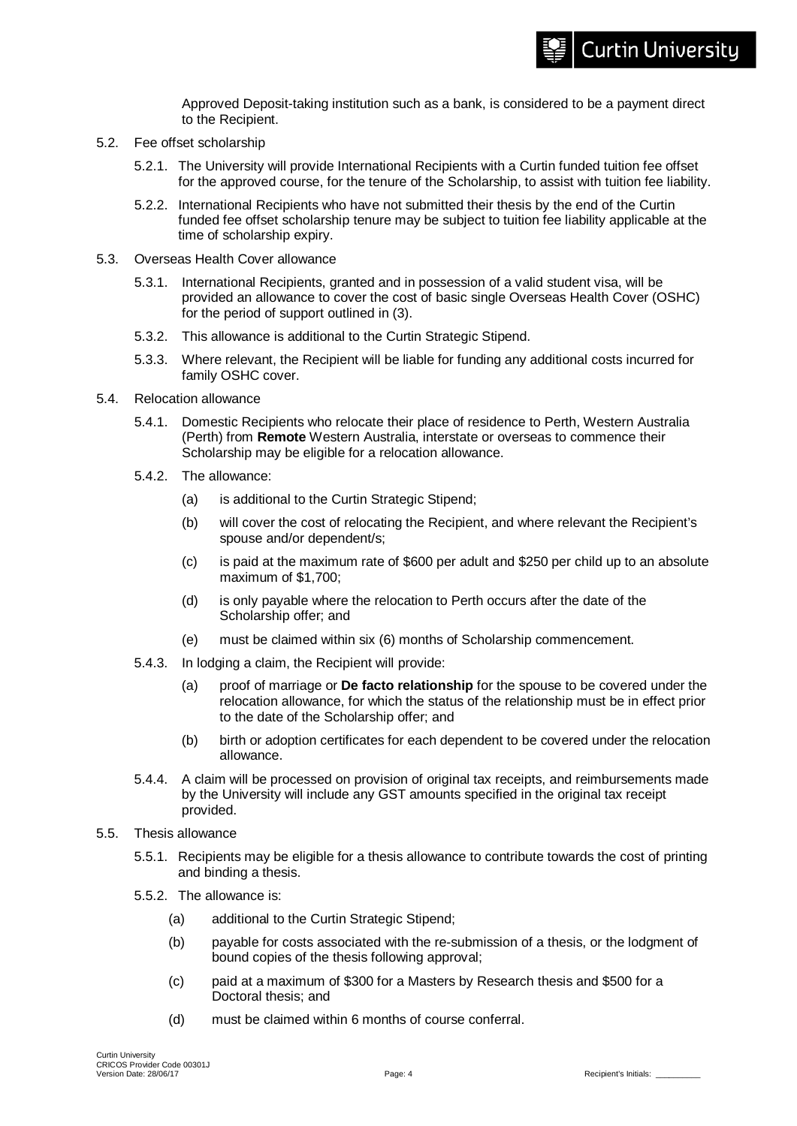Approved Deposit-taking institution such as a bank, is considered to be a payment direct to the Recipient.

- 5.2. Fee offset scholarship
	- 5.2.1. The University will provide International Recipients with a Curtin funded tuition fee offset for the approved course, for the tenure of the Scholarship, to assist with tuition fee liability.
	- 5.2.2. International Recipients who have not submitted their thesis by the end of the Curtin funded fee offset scholarship tenure may be subject to tuition fee liability applicable at the time of scholarship expiry.
- 5.3. Overseas Health Cover allowance
	- 5.3.1. International Recipients, granted and in possession of a valid student visa, will be provided an allowance to cover the cost of basic single Overseas Health Cover (OSHC) for the period of support outlined in (3).
	- 5.3.2. This allowance is additional to the Curtin Strategic Stipend.
	- 5.3.3. Where relevant, the Recipient will be liable for funding any additional costs incurred for family OSHC cover.
- 5.4. Relocation allowance
	- 5.4.1. Domestic Recipients who relocate their place of residence to Perth, Western Australia (Perth) from **Remote** Western Australia, interstate or overseas to commence their Scholarship may be eligible for a relocation allowance.
	- 5.4.2. The allowance:
		- (a) is additional to the Curtin Strategic Stipend;
		- (b) will cover the cost of relocating the Recipient, and where relevant the Recipient's spouse and/or dependent/s;
		- (c) is paid at the maximum rate of \$600 per adult and \$250 per child up to an absolute maximum of \$1,700;
		- (d) is only payable where the relocation to Perth occurs after the date of the Scholarship offer; and
		- (e) must be claimed within six (6) months of Scholarship commencement.
	- 5.4.3. In lodging a claim, the Recipient will provide:
		- (a) proof of marriage or **De facto relationship** for the spouse to be covered under the relocation allowance, for which the status of the relationship must be in effect prior to the date of the Scholarship offer; and
		- (b) birth or adoption certificates for each dependent to be covered under the relocation allowance.
	- 5.4.4. A claim will be processed on provision of original tax receipts, and reimbursements made by the University will include any GST amounts specified in the original tax receipt provided.
- 5.5. Thesis allowance
	- 5.5.1. Recipients may be eligible for a thesis allowance to contribute towards the cost of printing and binding a thesis.
	- 5.5.2. The allowance is:
		- (a) additional to the Curtin Strategic Stipend;
		- (b) payable for costs associated with the re-submission of a thesis, or the lodgment of bound copies of the thesis following approval;
		- (c) paid at a maximum of \$300 for a Masters by Research thesis and \$500 for a Doctoral thesis; and
		- (d) must be claimed within 6 months of course conferral.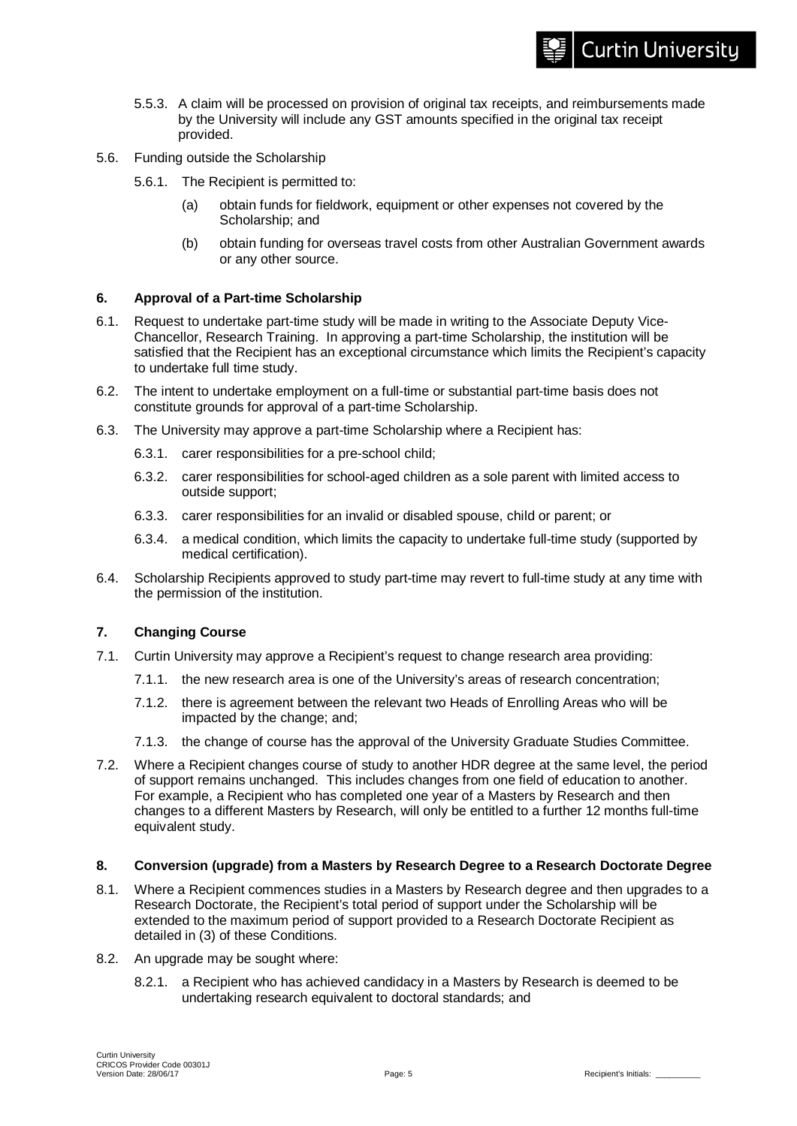- 5.5.3. A claim will be processed on provision of original tax receipts, and reimbursements made by the University will include any GST amounts specified in the original tax receipt provided.
- 5.6. Funding outside the Scholarship
	- 5.6.1. The Recipient is permitted to:
		- (a) obtain funds for fieldwork, equipment or other expenses not covered by the Scholarship; and
		- (b) obtain funding for overseas travel costs from other Australian Government awards or any other source.

#### **6. Approval of a Part-time Scholarship**

- 6.1. Request to undertake part-time study will be made in writing to the Associate Deputy Vice-Chancellor, Research Training. In approving a part-time Scholarship, the institution will be satisfied that the Recipient has an exceptional circumstance which limits the Recipient's capacity to undertake full time study.
- 6.2. The intent to undertake employment on a full-time or substantial part-time basis does not constitute grounds for approval of a part-time Scholarship.
- 6.3. The University may approve a part-time Scholarship where a Recipient has:
	- 6.3.1. carer responsibilities for a pre-school child;
	- 6.3.2. carer responsibilities for school-aged children as a sole parent with limited access to outside support;
	- 6.3.3. carer responsibilities for an invalid or disabled spouse, child or parent; or
	- 6.3.4. a medical condition, which limits the capacity to undertake full-time study (supported by medical certification).
- 6.4. Scholarship Recipients approved to study part-time may revert to full-time study at any time with the permission of the institution.

## **7. Changing Course**

- 7.1. Curtin University may approve a Recipient's request to change research area providing:
	- 7.1.1. the new research area is one of the University's areas of research concentration;
	- 7.1.2. there is agreement between the relevant two Heads of Enrolling Areas who will be impacted by the change; and;
	- 7.1.3. the change of course has the approval of the University Graduate Studies Committee.
- 7.2. Where a Recipient changes course of study to another HDR degree at the same level, the period of support remains unchanged. This includes changes from one field of education to another. For example, a Recipient who has completed one year of a Masters by Research and then changes to a different Masters by Research, will only be entitled to a further 12 months full-time equivalent study.

#### **8. Conversion (upgrade) from a Masters by Research Degree to a Research Doctorate Degree**

- 8.1. Where a Recipient commences studies in a Masters by Research degree and then upgrades to a Research Doctorate, the Recipient's total period of support under the Scholarship will be extended to the maximum period of support provided to a Research Doctorate Recipient as detailed in (3) of these Conditions.
- 8.2. An upgrade may be sought where:
	- 8.2.1. a Recipient who has achieved candidacy in a Masters by Research is deemed to be undertaking research equivalent to doctoral standards; and

**Curtin University**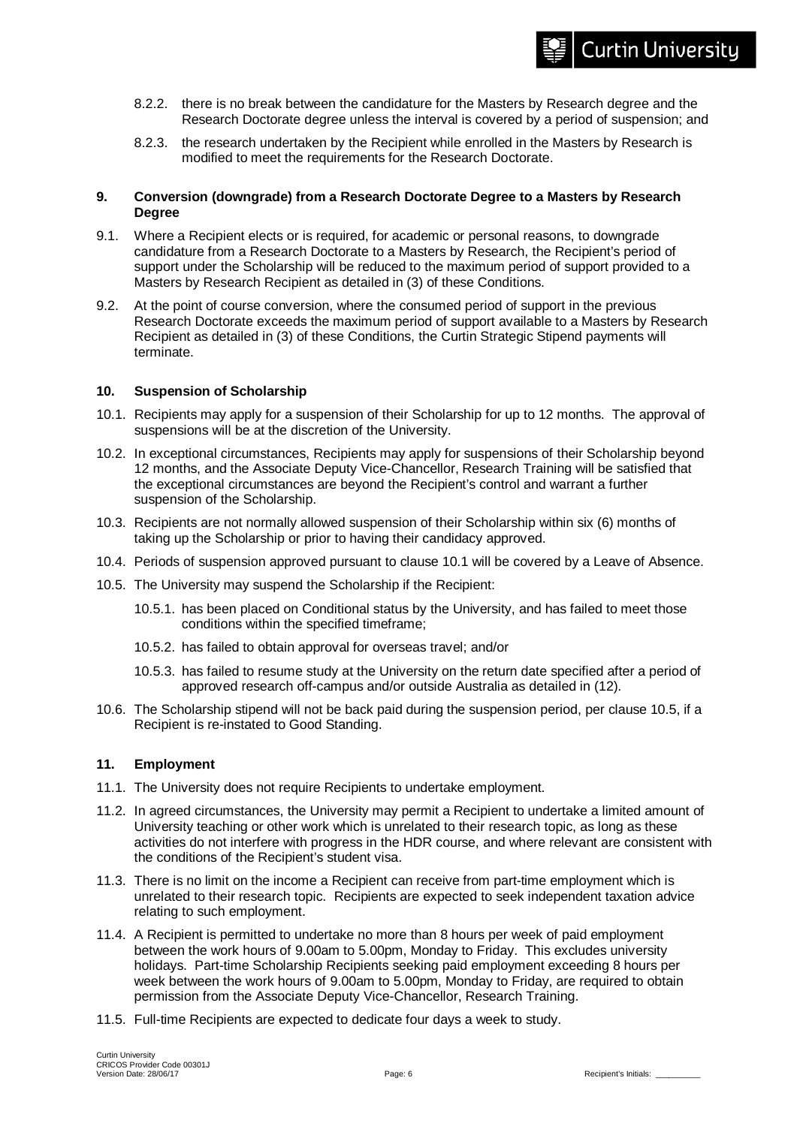- 8.2.2. there is no break between the candidature for the Masters by Research degree and the Research Doctorate degree unless the interval is covered by a period of suspension; and
- 8.2.3. the research undertaken by the Recipient while enrolled in the Masters by Research is modified to meet the requirements for the Research Doctorate.

## **9. Conversion (downgrade) from a Research Doctorate Degree to a Masters by Research Degree**

- 9.1. Where a Recipient elects or is required, for academic or personal reasons, to downgrade candidature from a Research Doctorate to a Masters by Research, the Recipient's period of support under the Scholarship will be reduced to the maximum period of support provided to a Masters by Research Recipient as detailed in (3) of these Conditions.
- 9.2. At the point of course conversion, where the consumed period of support in the previous Research Doctorate exceeds the maximum period of support available to a Masters by Research Recipient as detailed in (3) of these Conditions, the Curtin Strategic Stipend payments will terminate.

## **10. Suspension of Scholarship**

- 10.1. Recipients may apply for a suspension of their Scholarship for up to 12 months. The approval of suspensions will be at the discretion of the University.
- 10.2. In exceptional circumstances, Recipients may apply for suspensions of their Scholarship beyond 12 months, and the Associate Deputy Vice-Chancellor, Research Training will be satisfied that the exceptional circumstances are beyond the Recipient's control and warrant a further suspension of the Scholarship.
- 10.3. Recipients are not normally allowed suspension of their Scholarship within six (6) months of taking up the Scholarship or prior to having their candidacy approved.
- 10.4. Periods of suspension approved pursuant to clause 10.1 will be covered by a Leave of Absence.
- 10.5. The University may suspend the Scholarship if the Recipient:
	- 10.5.1. has been placed on Conditional status by the University, and has failed to meet those conditions within the specified timeframe;
	- 10.5.2. has failed to obtain approval for overseas travel; and/or
	- 10.5.3. has failed to resume study at the University on the return date specified after a period of approved research off-campus and/or outside Australia as detailed in (12).
- 10.6. The Scholarship stipend will not be back paid during the suspension period, per clause 10.5, if a Recipient is re-instated to Good Standing.

#### **11. Employment**

- 11.1. The University does not require Recipients to undertake employment.
- 11.2. In agreed circumstances, the University may permit a Recipient to undertake a limited amount of University teaching or other work which is unrelated to their research topic, as long as these activities do not interfere with progress in the HDR course, and where relevant are consistent with the conditions of the Recipient's student visa.
- 11.3. There is no limit on the income a Recipient can receive from part-time employment which is unrelated to their research topic. Recipients are expected to seek independent taxation advice relating to such employment.
- 11.4. A Recipient is permitted to undertake no more than 8 hours per week of paid employment between the work hours of 9.00am to 5.00pm, Monday to Friday. This excludes university holidays. Part-time Scholarship Recipients seeking paid employment exceeding 8 hours per week between the work hours of 9.00am to 5.00pm, Monday to Friday, are required to obtain permission from the Associate Deputy Vice-Chancellor, Research Training.
- 11.5. Full-time Recipients are expected to dedicate four days a week to study.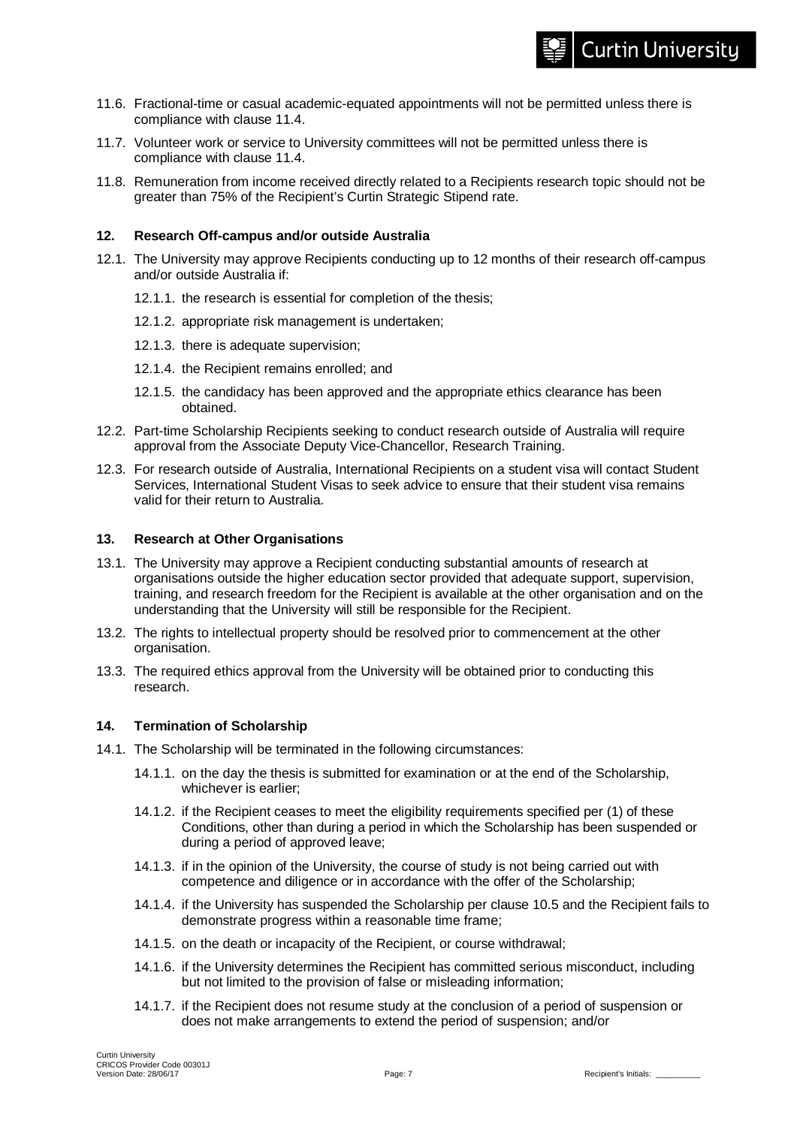- 11.6. Fractional-time or casual academic-equated appointments will not be permitted unless there is compliance with clause 11.4.
- 11.7. Volunteer work or service to University committees will not be permitted unless there is compliance with clause 11.4.
- 11.8. Remuneration from income received directly related to a Recipients research topic should not be greater than 75% of the Recipient's Curtin Strategic Stipend rate.

## **12. Research Off-campus and/or outside Australia**

- 12.1. The University may approve Recipients conducting up to 12 months of their research off-campus and/or outside Australia if:
	- 12.1.1. the research is essential for completion of the thesis;
	- 12.1.2. appropriate risk management is undertaken;
	- 12.1.3. there is adequate supervision;
	- 12.1.4. the Recipient remains enrolled; and
	- 12.1.5. the candidacy has been approved and the appropriate ethics clearance has been obtained.
- 12.2. Part-time Scholarship Recipients seeking to conduct research outside of Australia will require approval from the Associate Deputy Vice-Chancellor, Research Training.
- 12.3. For research outside of Australia, International Recipients on a student visa will contact Student Services, International Student Visas to seek advice to ensure that their student visa remains valid for their return to Australia.

#### **13. Research at Other Organisations**

- 13.1. The University may approve a Recipient conducting substantial amounts of research at organisations outside the higher education sector provided that adequate support, supervision, training, and research freedom for the Recipient is available at the other organisation and on the understanding that the University will still be responsible for the Recipient.
- 13.2. The rights to intellectual property should be resolved prior to commencement at the other organisation.
- 13.3. The required ethics approval from the University will be obtained prior to conducting this research.

## **14. Termination of Scholarship**

- 14.1. The Scholarship will be terminated in the following circumstances:
	- 14.1.1. on the day the thesis is submitted for examination or at the end of the Scholarship, whichever is earlier;
	- 14.1.2. if the Recipient ceases to meet the eligibility requirements specified per (1) of these Conditions, other than during a period in which the Scholarship has been suspended or during a period of approved leave;
	- 14.1.3. if in the opinion of the University, the course of study is not being carried out with competence and diligence or in accordance with the offer of the Scholarship;
	- 14.1.4. if the University has suspended the Scholarship per clause 10.5 and the Recipient fails to demonstrate progress within a reasonable time frame;
	- 14.1.5. on the death or incapacity of the Recipient, or course withdrawal;
	- 14.1.6. if the University determines the Recipient has committed serious misconduct, including but not limited to the provision of false or misleading information;
	- 14.1.7. if the Recipient does not resume study at the conclusion of a period of suspension or does not make arrangements to extend the period of suspension; and/or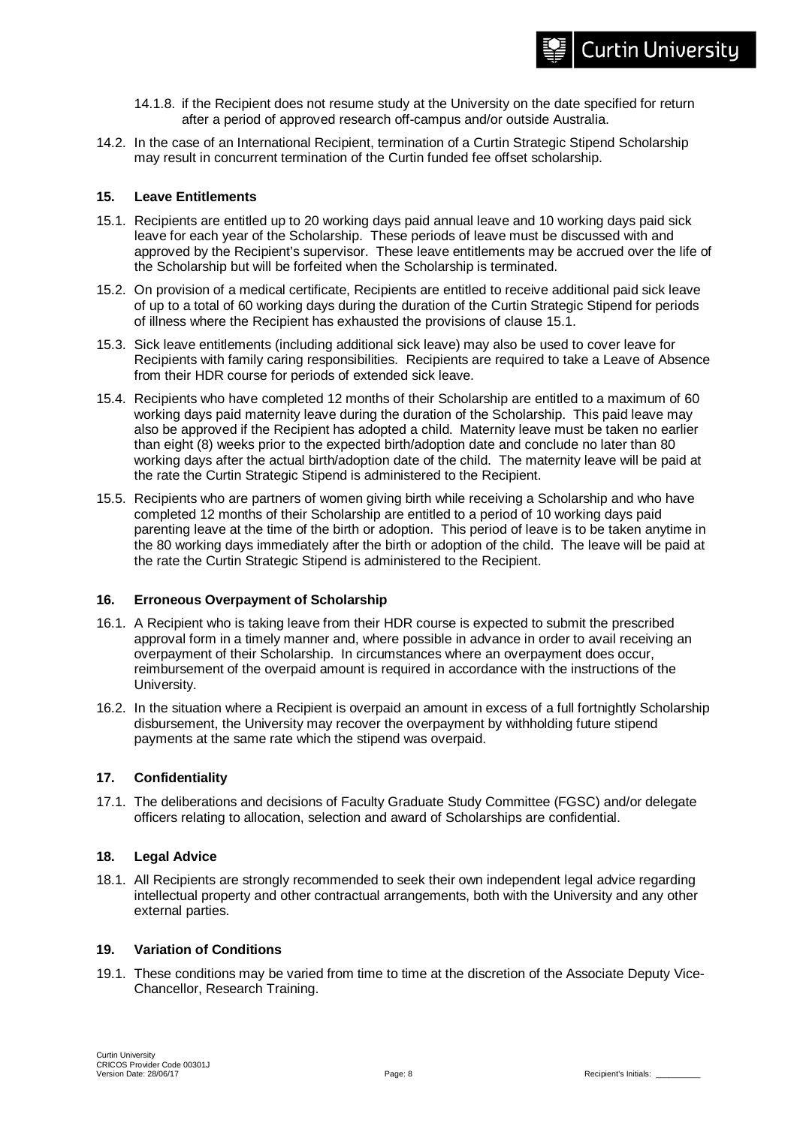- 14.1.8. if the Recipient does not resume study at the University on the date specified for return after a period of approved research off-campus and/or outside Australia.
- 14.2. In the case of an International Recipient, termination of a Curtin Strategic Stipend Scholarship may result in concurrent termination of the Curtin funded fee offset scholarship.

## **15. Leave Entitlements**

- 15.1. Recipients are entitled up to 20 working days paid annual leave and 10 working days paid sick leave for each year of the Scholarship. These periods of leave must be discussed with and approved by the Recipient's supervisor. These leave entitlements may be accrued over the life of the Scholarship but will be forfeited when the Scholarship is terminated.
- 15.2. On provision of a medical certificate, Recipients are entitled to receive additional paid sick leave of up to a total of 60 working days during the duration of the Curtin Strategic Stipend for periods of illness where the Recipient has exhausted the provisions of clause 15.1.
- 15.3. Sick leave entitlements (including additional sick leave) may also be used to cover leave for Recipients with family caring responsibilities. Recipients are required to take a Leave of Absence from their HDR course for periods of extended sick leave.
- 15.4. Recipients who have completed 12 months of their Scholarship are entitled to a maximum of 60 working days paid maternity leave during the duration of the Scholarship. This paid leave may also be approved if the Recipient has adopted a child. Maternity leave must be taken no earlier than eight (8) weeks prior to the expected birth/adoption date and conclude no later than 80 working days after the actual birth/adoption date of the child. The maternity leave will be paid at the rate the Curtin Strategic Stipend is administered to the Recipient.
- 15.5. Recipients who are partners of women giving birth while receiving a Scholarship and who have completed 12 months of their Scholarship are entitled to a period of 10 working days paid parenting leave at the time of the birth or adoption. This period of leave is to be taken anytime in the 80 working days immediately after the birth or adoption of the child. The leave will be paid at the rate the Curtin Strategic Stipend is administered to the Recipient.

#### **16. Erroneous Overpayment of Scholarship**

- 16.1. A Recipient who is taking leave from their HDR course is expected to submit the prescribed approval form in a timely manner and, where possible in advance in order to avail receiving an overpayment of their Scholarship. In circumstances where an overpayment does occur, reimbursement of the overpaid amount is required in accordance with the instructions of the University.
- 16.2. In the situation where a Recipient is overpaid an amount in excess of a full fortnightly Scholarship disbursement, the University may recover the overpayment by withholding future stipend payments at the same rate which the stipend was overpaid.

## **17. Confidentiality**

17.1. The deliberations and decisions of Faculty Graduate Study Committee (FGSC) and/or delegate officers relating to allocation, selection and award of Scholarships are confidential.

## **18. Legal Advice**

18.1. All Recipients are strongly recommended to seek their own independent legal advice regarding intellectual property and other contractual arrangements, both with the University and any other external parties.

#### **19. Variation of Conditions**

19.1. These conditions may be varied from time to time at the discretion of the Associate Deputy Vice-Chancellor, Research Training.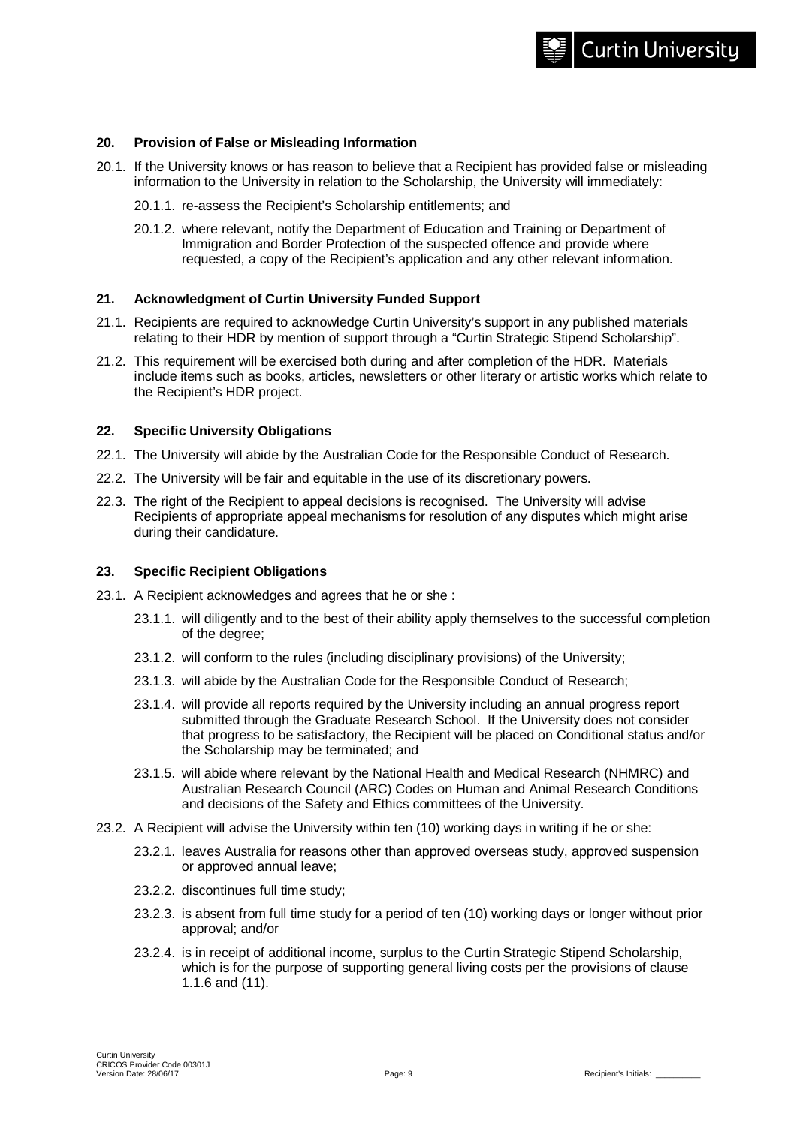#### **20. Provision of False or Misleading Information**

- 20.1. If the University knows or has reason to believe that a Recipient has provided false or misleading information to the University in relation to the Scholarship, the University will immediately:
	- 20.1.1. re-assess the Recipient's Scholarship entitlements; and
	- 20.1.2. where relevant, notify the Department of Education and Training or Department of Immigration and Border Protection of the suspected offence and provide where requested, a copy of the Recipient's application and any other relevant information.

#### **21. Acknowledgment of Curtin University Funded Support**

- 21.1. Recipients are required to acknowledge Curtin University's support in any published materials relating to their HDR by mention of support through a "Curtin Strategic Stipend Scholarship".
- 21.2. This requirement will be exercised both during and after completion of the HDR. Materials include items such as books, articles, newsletters or other literary or artistic works which relate to the Recipient's HDR project.

#### **22. Specific University Obligations**

- 22.1. The University will abide by the Australian Code for the Responsible Conduct of Research.
- 22.2. The University will be fair and equitable in the use of its discretionary powers.
- 22.3. The right of the Recipient to appeal decisions is recognised. The University will advise Recipients of appropriate appeal mechanisms for resolution of any disputes which might arise during their candidature.

#### **23. Specific Recipient Obligations**

- 23.1. A Recipient acknowledges and agrees that he or she :
	- 23.1.1. will diligently and to the best of their ability apply themselves to the successful completion of the degree;
	- 23.1.2. will conform to the rules (including disciplinary provisions) of the University;
	- 23.1.3. will abide by the Australian Code for the Responsible Conduct of Research;
	- 23.1.4. will provide all reports required by the University including an annual progress report submitted through the Graduate Research School. If the University does not consider that progress to be satisfactory, the Recipient will be placed on Conditional status and/or the Scholarship may be terminated; and
	- 23.1.5. will abide where relevant by the National Health and Medical Research (NHMRC) and Australian Research Council (ARC) Codes on Human and Animal Research Conditions and decisions of the Safety and Ethics committees of the University.
- 23.2. A Recipient will advise the University within ten (10) working days in writing if he or she:
	- 23.2.1. leaves Australia for reasons other than approved overseas study, approved suspension or approved annual leave;
	- 23.2.2. discontinues full time study;
	- 23.2.3. is absent from full time study for a period of ten (10) working days or longer without prior approval; and/or
	- 23.2.4. is in receipt of additional income, surplus to the Curtin Strategic Stipend Scholarship, which is for the purpose of supporting general living costs per the provisions of clause 1.1.6 and (11).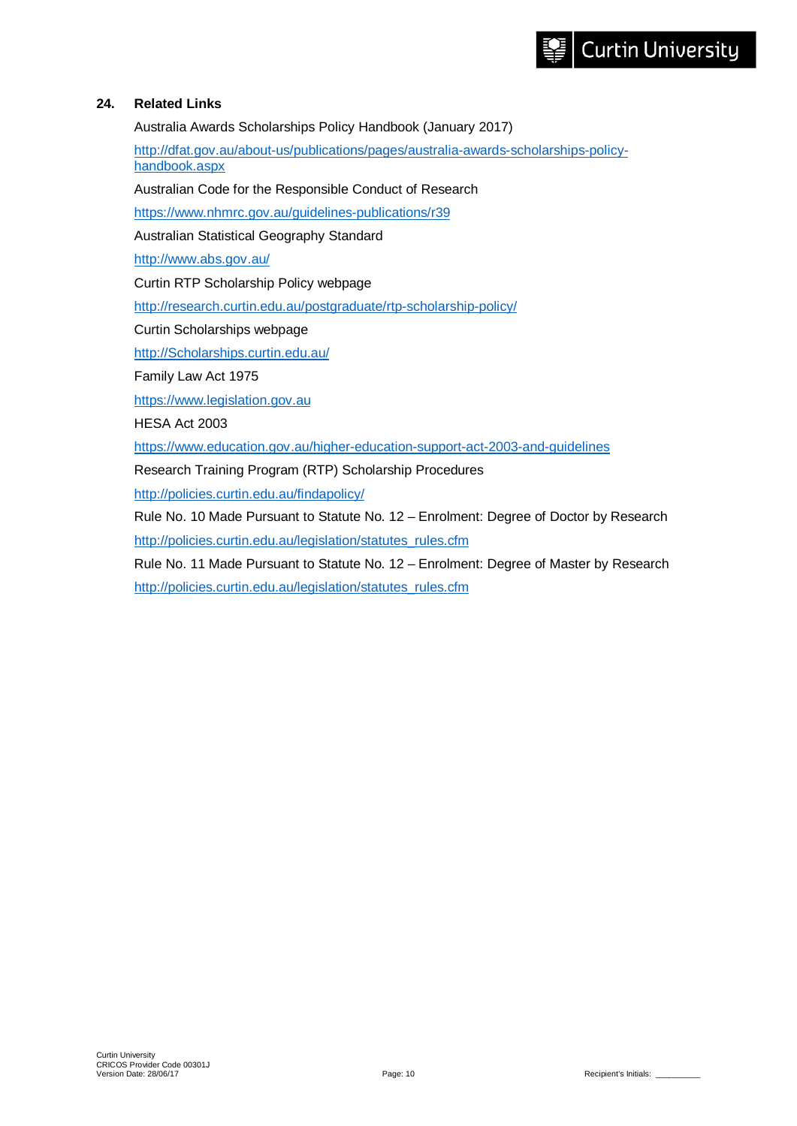## **24. Related Links**

Australia Awards Scholarships Policy Handbook (January 2017)

[http://dfat.gov.au/about-us/publications/pages/australia-awards-scholarships-policy](http://dfat.gov.au/about-us/publications/pages/australia-awards-scholarships-policy-handbook.aspx)[handbook.aspx](http://dfat.gov.au/about-us/publications/pages/australia-awards-scholarships-policy-handbook.aspx)

Australian Code for the Responsible Conduct of Research

<https://www.nhmrc.gov.au/guidelines-publications/r39>

Australian Statistical Geography Standard

<http://www.abs.gov.au/>

Curtin RTP Scholarship Policy webpage

<http://research.curtin.edu.au/postgraduate/rtp-scholarship-policy/>

Curtin Scholarships webpage

[http://Scholarships.curtin.edu.au/](http://scholarships.curtin.edu.au/)

Family Law Act 1975

[https://www.legislation.gov.au](https://www.legislation.gov.au/)

HESA Act 2003

<https://www.education.gov.au/higher-education-support-act-2003-and-guidelines>

Research Training Program (RTP) Scholarship Procedures

<http://policies.curtin.edu.au/findapolicy/>

Rule No. 10 Made Pursuant to Statute No. 12 – Enrolment: Degree of Doctor by Research [http://policies.curtin.edu.au/legislation/statutes\\_rules.cfm](http://policies.curtin.edu.au/legislation/statutes_rules.cfm)

Rule No. 11 Made Pursuant to Statute No. 12 – Enrolment: Degree of Master by Research [http://policies.curtin.edu.au/legislation/statutes\\_rules.cfm](http://policies.curtin.edu.au/legislation/statutes_rules.cfm)